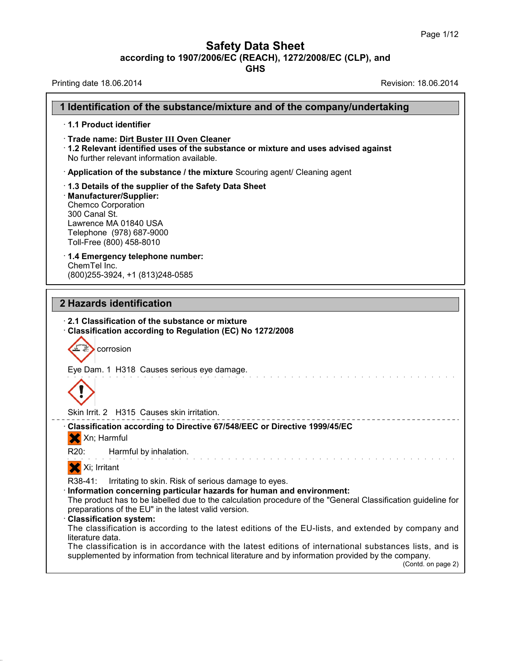### **Safety Data Sheet**

**according to 1907/2006/EC (REACH), 1272/2008/EC (CLP),and**

**GHS**

Printing date 18.06.2014 **Revision: 18.06.2014** 

 $\Gamma$ 

|                  | 1 Identification of the substance/mixture and of the company/undertaking                                                                                                                                                                                                                                                                 |
|------------------|------------------------------------------------------------------------------------------------------------------------------------------------------------------------------------------------------------------------------------------------------------------------------------------------------------------------------------------|
|                  | 1.1 Product identifier                                                                                                                                                                                                                                                                                                                   |
|                  | · Trade name: Dirt Buster III Oven Cleaner<br>1.2 Relevant identified uses of the substance or mixture and uses advised against<br>No further relevant information available.                                                                                                                                                            |
|                  | Application of the substance / the mixture Scouring agent/ Cleaning agent                                                                                                                                                                                                                                                                |
| 300 Canal St.    | 1.3 Details of the supplier of the Safety Data Sheet<br>· Manufacturer/Supplier:<br><b>Chemco Corporation</b><br>Lawrence MA 01840 USA<br>Telephone (978) 687-9000<br>Toll-Free (800) 458-8010                                                                                                                                           |
| ChemTel Inc.     | 1.4 Emergency telephone number:<br>(800) 255-3924, +1 (813) 248-0585                                                                                                                                                                                                                                                                     |
|                  | 2 Hazards identification                                                                                                                                                                                                                                                                                                                 |
|                  | Classification according to Regulation (EC) No 1272/2008<br>corrosion<br>Eye Dam. 1 H318 Causes serious eye damage.<br>Skin Irrit. 2 H315 Causes skin irritation.                                                                                                                                                                        |
| X Xn; Harmful    | Classification according to Directive 67/548/EEC or Directive 1999/45/EC                                                                                                                                                                                                                                                                 |
| R20:             | Harmful by inhalation.                                                                                                                                                                                                                                                                                                                   |
| X Xi; Irritant   |                                                                                                                                                                                                                                                                                                                                          |
| R38-41:          | Irritating to skin. Risk of serious damage to eyes.<br>· Information concerning particular hazards for human and environment:<br>The product has to be labelled due to the calculation procedure of the "General Classification guideline for<br>preparations of the EU" in the latest valid version.<br><b>Classification system:</b>   |
| literature data. | The classification is according to the latest editions of the EU-lists, and extended by company and<br>The classification is in accordance with the latest editions of international substances lists, and is<br>supplemented by information from technical literature and by information provided by the company.<br>(Contd. on page 2) |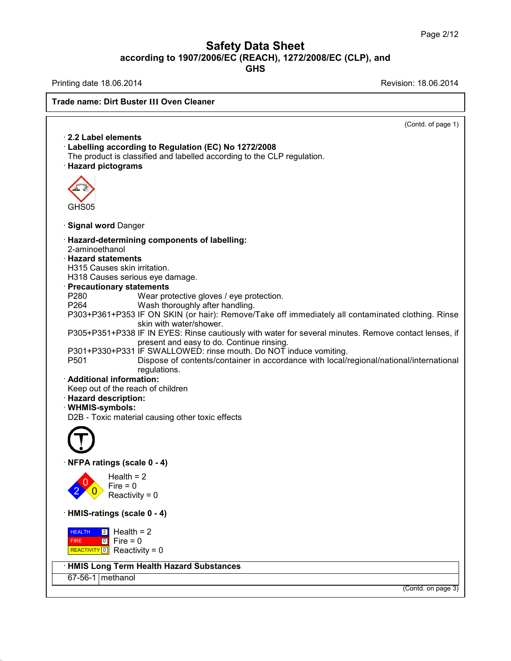## **Safety Data Sheet according to 1907/2006/EC (REACH), 1272/2008/EC (CLP),and**

**GHS**

Printing date 18.06.2014 **Printing date 18.06.2014** 

38.0.33

(Contd. of page 1) · **2.2 Label elements** · **Labelling according to Regulation (EC) No 1272/2008** The product is classified and labelled according to the CLP regulation. · **Hazard pictograms** GHS05 · **Signal word** Danger · **Hazard-determining components of labelling:** 2-aminoethanol · **Hazard statements** H315 Causes skin irritation. H318 Causes serious eye damage. · **Precautionary statements** P280 Wear protective gloves / eye protection.<br>P264 Wash thoroughly after handling Wash thoroughly after handling. P303+P361+P353 IF ON SKIN (or hair): Remove/Take off immediately all contaminated clothing. Rinse skin with water/shower. P305+P351+P338 IF IN EYES: Rinse cautiously with water for several minutes. Remove contact lenses, if present and easy to do. Continue rinsing. P301+P330+P331 IF SWALLOWED: rinse mouth. Do NOT induce vomiting. P501 Dispose of contents/container in accordance with local/regional/national/international regulations. · **Additional information:** Keep out of the reach of children · **Hazard description:** · **WHMIS-symbols:** D2B - Toxic material causing other toxic effects · **NFPA ratings (scale 0 - 4)**  $2 \times 0$  Reactivity = 0  $\frac{1}{2}$  Fire = 0  $Health = 2$ · **HMIS-ratings (scale 0 - 4) HEALTH FIRE REALTH 2 Health = 2**<br>FIRE **D** Fire = 0<br>REACTIVITY **0** Reactivity = 0  $\boxed{2}$  Health = 2 0 Fire = 0 · **HMIS Long Term Health Hazard Substances** 67-56-1 methanol (Contd. on page 3) **Trade name: Dirt Buster III Oven Cleaner**<br>**Trade name: Dirt Buster III Oven Cleaner**<br>**Trade name: Dirt Buster III Oven Cleaner**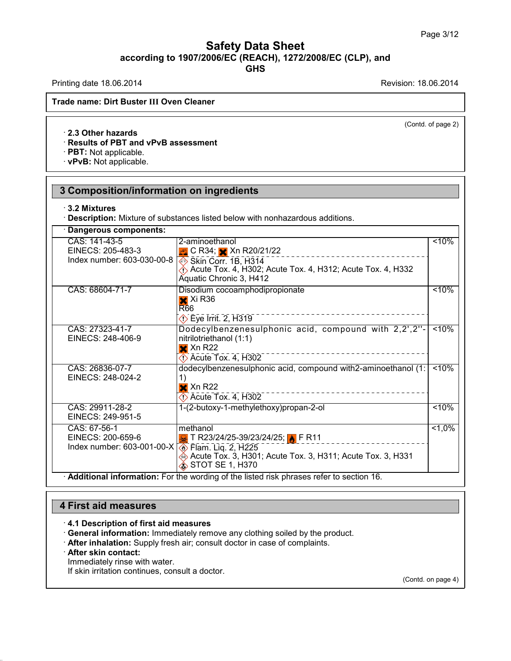Printing date 18.06.2014 **Printing date 18.06.2014** 

(Contd. of page 2)

#### · **2.3 Other hazards**

#### · **Results of PBT and vPvB assessment**

· **PBT:** Not applicable.

· **vPvB:** Not applicable.

### **3 Composition/information on ingredients**

#### · **3.2 Mixtures**

· **Description:** Mixture of substances listed below with nonhazardous additions.

| Dangerous components:                                                                                |                                                                                                                                                                          |                    |
|------------------------------------------------------------------------------------------------------|--------------------------------------------------------------------------------------------------------------------------------------------------------------------------|--------------------|
| CAS: 141-43-5<br>EINECS: 205-483-3<br>Index number: 603-030-00-8                                     | 2-aminoethanol<br>$\bullet$ C R34; $\times$ Xn R20/21/22<br>Skin Corr. 1B, H314<br>Acute Tox. 4, H302; Acute Tox. 4, H312; Acute Tox. 4, H332<br>Aquatic Chronic 3, H412 | $10\%$             |
| CAS: 68604-71-7                                                                                      | Disodium cocoamphodipropionate<br>$\mathsf{\times}$ Xi R36<br><b>R66</b><br>$\Diamond$ Eye Irrit. 2, H319                                                                | $10\%$             |
| CAS: 27323-41-7<br>EINECS: 248-406-9                                                                 | Dodecylbenzenesulphonic acid, compound with 2,2',2"-<br>nitrilotriethanol (1:1)<br>$\mathsf{\times}$ Xn R22<br>$\Diamond$ Acute Tox. 4, H302                             | $10\%$             |
| CAS: 26836-07-7<br>EINECS: 248-024-2                                                                 | dodecylbenzenesulphonic acid, compound with2-aminoethanol (1:<br>1)<br>$\mathsf{\times}$ Xn R22<br>$\Diamond$ Acute Tox. 4, H302                                         | < 10%              |
| CAS: 29911-28-2<br>EINECS: 249-951-5                                                                 | 1-(2-butoxy-1-methylethoxy)propan-2-ol                                                                                                                                   | $10\%$             |
| CAS: 67-56-1<br>EINECS: 200-659-6<br>Index number: 603-001-00-X $\sqrt{\diamond}$ Flam. Liq. 2, H225 | methanol<br>PR11 T R23/24/25-39/23/24/25; AFR11<br>Acute Tox. 3, H301; Acute Tox. 3, H311; Acute Tox. 3, H331<br>$\hat{\textbf{S}}$ STOT SE 1, H370                      | $\overline{$ <1,0% |
|                                                                                                      | <b>Additional information:</b> For the wording of the listed risk phrases refer to section 16.                                                                           |                    |

#### **4 First aid measures**

- · **4.1 Description of first aid measures**
- · **General information:** Immediately remove any clothing soiled by the product.
- · **After inhalation:** Supply fresh air; consult doctor in case of complaints.

#### · **After skin contact:**

38.0.33

Immediately rinse with water.

If skin irritation continues, consult a doctor.

(Contd. on page 4)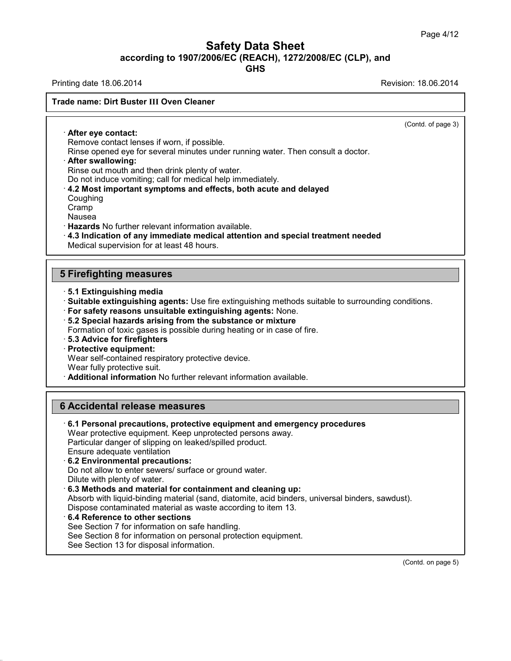**GHS**

Printing date 18.06.2014 **Printing date 18.06.2014** 

(Contd. of page 3)

· **After eye contact:** Remove contact lenses if worn, if possible.

Rinse opened eye for several minutes under running water. Then consult a doctor.

#### · **After swallowing:**

Rinse out mouth and then drink plenty of water.

Do not induce vomiting; call for medical help immediately.

#### · **4.2 Most important symptoms and effects, both acute and delayed**

Coughing

Cramp

Nausea

· **Hazards** No further relevant information available.

· **4.3 Indication of any immediate medical attention and special treatment needed** Medical supervision for at least 48 hours.

#### **5 Firefighting measures**

- · **5.1 Extinguishing media**
- · **Suitable extinguishing agents:** Use fire extinguishing methods suitable to surrounding conditions.
- · **For safety reasons unsuitable extinguishing agents:** None.
- · **5.2 Special hazards arising from the substance ormixture**
- Formation of toxic gases is possible during heating or in case of fire.
- · **5.3 Advice for firefighters**
- · **Protective equipment:**

Wear self-contained respiratory protective device.

Wear fully protective suit.

· **Additional information** No further relevant information available.

#### **6 Accidental release measures**

· **6.1 Personal precautions, protective equipment and emergency procedures** Wear protective equipment. Keep unprotected persons away. Particular danger of slipping on leaked/spilled product. Ensure adequate ventilation · **6.2 Environmental precautions:** Do not allow to enter sewers/ surface or ground water.

Dilute with plenty of water.

38.0.33

· **6.3 Methods and material for containment and cleaning up:**

Absorb with liquid-binding material (sand, diatomite, acid binders, universal binders, sawdust).

- Dispose contaminated material as waste according to item 13.
- · **6.4 Reference to other sections**

See Section 7 for information on safe handling.

See Section 8 for information on personal protection equipment.

See Section 13 for disposal information.

(Contd. on page 5)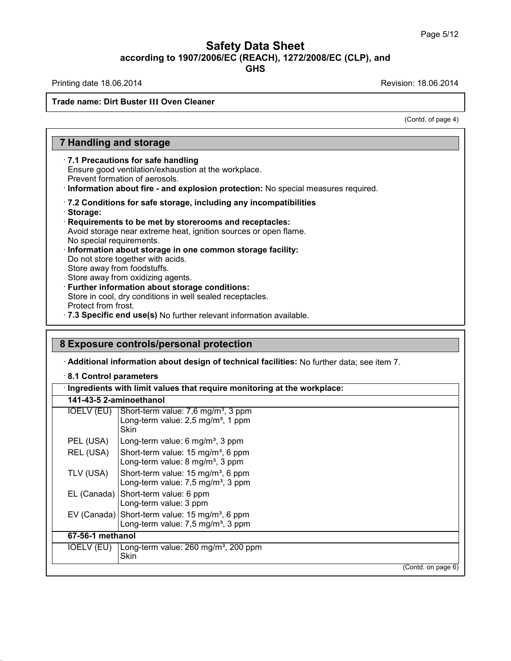Printing date 18.06.2014 **Printing date 18.06.2014** 

(Contd. of page 4)

### **7 Handling and storage**

· **7.1 Precautions for safe handling**

Ensure good ventilation/exhaustion at the workplace.

Prevent formation of aerosols.

· **Information about fire - and explosion protection:** No special measures required.

- · **7.2 Conditions for safe storage, including any incompatibilities**
- · **Storage:**
- · **Requirements to be met by storerooms and receptacles:** Avoid storage near extreme heat, ignition sources or open flame. No special requirements. · **Information about storage in one common storage facility:**

Do not store together with acids. Store away from foodstuffs.

- Store away from oxidizing agents.
- · **Further information about storage conditions:**

Store in cool, dry conditions in well sealed receptacles.

- Protect from frost.
- · **7.3 Specific end use(s)** No further relevant information available.

### **8 Exposure controls/personal protection**

· **Additional information about design of technical facilities:** No further data; see item 7.

· **8.1 Control parameters**

|                  | 141-43-5 2-aminoethanol                                                                                      |  |
|------------------|--------------------------------------------------------------------------------------------------------------|--|
| IOELV (EU)       | Short-term value: 7,6 mg/m <sup>3</sup> , 3 ppm<br>Long-term value: 2,5 mg/m <sup>3</sup> , 1 ppm<br>Skin    |  |
| PEL (USA)        | Long-term value: 6 mg/m <sup>3</sup> , 3 ppm                                                                 |  |
| REL (USA)        | Short-term value: 15 mg/m <sup>3</sup> , 6 ppm<br>Long-term value: 8 mg/m <sup>3</sup> , 3 ppm               |  |
| TLV (USA)        | Short-term value: 15 mg/m <sup>3</sup> , 6 ppm<br>Long-term value: 7,5 mg/m <sup>3</sup> , 3 ppm             |  |
|                  | EL (Canada) Short-term value: 6 ppm<br>Long-term value: 3 ppm                                                |  |
|                  | EV (Canada) Short-term value: 15 mg/m <sup>3</sup> , 6 ppm<br>Long-term value: 7,5 mg/m <sup>3</sup> , 3 ppm |  |
| 67-56-1 methanol |                                                                                                              |  |
| IOELV (EU)       | Long-term value: 260 mg/m <sup>3</sup> , 200 ppm<br>Skin                                                     |  |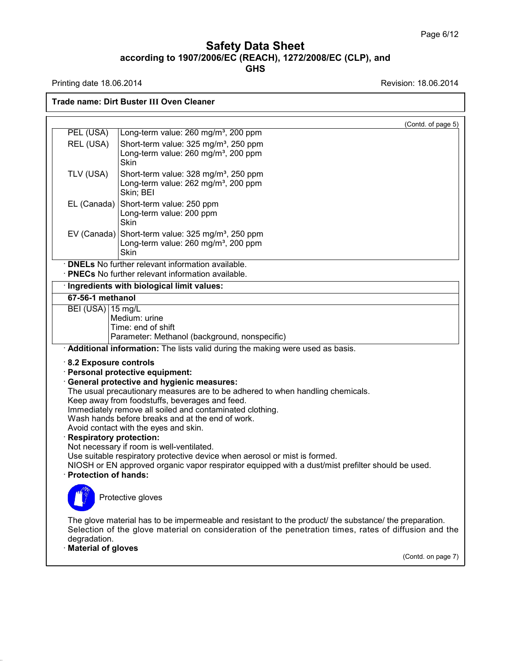#### **Safety Data Sheet according to 1907/2006/EC (REACH), 1272/2008/EC (CLP),and GHS**

Printing date 18.06.2014 **Revision: 18.06.2014** 

**Trade name: Dirt Buster III Oven Cleaner**

|                                                                              | (Contd. of page 5)                                                                                                                                                                                                                                                                                                                                                                                                                                                                                                                                                                                                                                                                  |
|------------------------------------------------------------------------------|-------------------------------------------------------------------------------------------------------------------------------------------------------------------------------------------------------------------------------------------------------------------------------------------------------------------------------------------------------------------------------------------------------------------------------------------------------------------------------------------------------------------------------------------------------------------------------------------------------------------------------------------------------------------------------------|
| PEL (USA)                                                                    | Long-term value: 260 mg/m <sup>3</sup> , 200 ppm                                                                                                                                                                                                                                                                                                                                                                                                                                                                                                                                                                                                                                    |
| REL (USA)                                                                    | Short-term value: 325 mg/m <sup>3</sup> , 250 ppm<br>Long-term value: 260 mg/m <sup>3</sup> , 200 ppm<br>Skin                                                                                                                                                                                                                                                                                                                                                                                                                                                                                                                                                                       |
| TLV (USA)                                                                    | Short-term value: 328 mg/m <sup>3</sup> , 250 ppm<br>Long-term value: 262 mg/m <sup>3</sup> , 200 ppm<br>Skin; BEI                                                                                                                                                                                                                                                                                                                                                                                                                                                                                                                                                                  |
| EL (Canada)                                                                  | Short-term value: 250 ppm<br>Long-term value: 200 ppm<br>Skin                                                                                                                                                                                                                                                                                                                                                                                                                                                                                                                                                                                                                       |
|                                                                              | EV (Canada) Short-term value: 325 mg/m <sup>3</sup> , 250 ppm<br>Long-term value: 260 mg/m <sup>3</sup> , 200 ppm<br>Skin                                                                                                                                                                                                                                                                                                                                                                                                                                                                                                                                                           |
|                                                                              | · <b>DNELs</b> No further relevant information available.<br>· PNECs No further relevant information available.                                                                                                                                                                                                                                                                                                                                                                                                                                                                                                                                                                     |
|                                                                              | · Ingredients with biological limit values:                                                                                                                                                                                                                                                                                                                                                                                                                                                                                                                                                                                                                                         |
| 67-56-1 methanol                                                             |                                                                                                                                                                                                                                                                                                                                                                                                                                                                                                                                                                                                                                                                                     |
| BEI (USA) 15 mg/L<br>8.2 Exposure controls<br><b>Respiratory protection:</b> | Medium: urine<br>Time: end of shift<br>Parameter: Methanol (background, nonspecific)<br>Additional information: The lists valid during the making were used as basis.<br>Personal protective equipment:<br><b>General protective and hygienic measures:</b><br>The usual precautionary measures are to be adhered to when handling chemicals.<br>Keep away from foodstuffs, beverages and feed.<br>Immediately remove all soiled and contaminated clothing.<br>Wash hands before breaks and at the end of work.<br>Avoid contact with the eyes and skin.<br>Not necessary if room is well-ventilated.<br>Use suitable respiratory protective device when aerosol or mist is formed. |
| · Protection of hands:                                                       | NIOSH or EN approved organic vapor respirator equipped with a dust/mist prefilter should be used.<br>Protective gloves                                                                                                                                                                                                                                                                                                                                                                                                                                                                                                                                                              |
| degradation.<br><b>Material of gloves</b>                                    | The glove material has to be impermeable and resistant to the product/ the substance/ the preparation.<br>Selection of the glove material on consideration of the penetration times, rates of diffusion and the<br>(Contd. on page 7)                                                                                                                                                                                                                                                                                                                                                                                                                                               |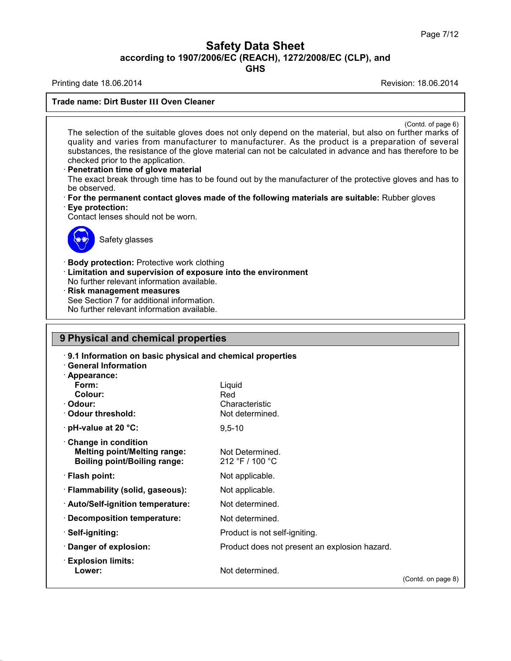**GHS**

Printing date 18.06.2014 **Printing date 18.06.2014** 

(Contd. of page 6)

The selection of the suitable gloves does not only depend on the material, but also on further marks of quality and varies from manufacturer to manufacturer. As the product is a preparation of several substances, the resistance of the glove material can not be calculated in advance and has therefore to be checked prior to the application.

· **Penetration time of glove material**

The exact break through time has to be found out by the manufacturer of the protective gloves and has to be observed.

- · **For the permanent contact gloves made of the following materials are suitable:** Rubber gloves · **Eye protection:**
- Contact lenses should not be worn.



Safety glasses

· **Body protection:** Protective work clothing

- · **Limitation and supervision of exposure into the environment**
- No further relevant information available.
- · **Risk management measures**

See Section 7 for additional information. No further relevant information available.

#### **9 Physical and chemical properties**

· **9.1 Information on basic physical and chemical properties**

· **General Information**

| · Appearance:                       |                                               |                    |
|-------------------------------------|-----------------------------------------------|--------------------|
| Form:                               | Liquid                                        |                    |
| Colour:                             | Red                                           |                    |
| · Odour:                            | Characteristic                                |                    |
| Odour threshold:                    | Not determined.                               |                    |
| $\cdot$ pH-value at 20 °C:          | $9,5 - 10$                                    |                    |
| Change in condition                 |                                               |                    |
| <b>Melting point/Melting range:</b> | Not Determined.                               |                    |
| <b>Boiling point/Boiling range:</b> | 212 °F / 100 °C                               |                    |
| · Flash point:                      | Not applicable.                               |                    |
| · Flammability (solid, gaseous):    | Not applicable.                               |                    |
| · Auto/Self-ignition temperature:   | Not determined.                               |                    |
| · Decomposition temperature:        | Not determined.                               |                    |
| · Self-igniting:                    | Product is not self-igniting.                 |                    |
| · Danger of explosion:              | Product does not present an explosion hazard. |                    |
| $\cdot$ Explosion limits:           |                                               |                    |
| Lower:                              | Not determined.                               |                    |
|                                     |                                               | (Contd. on page 8) |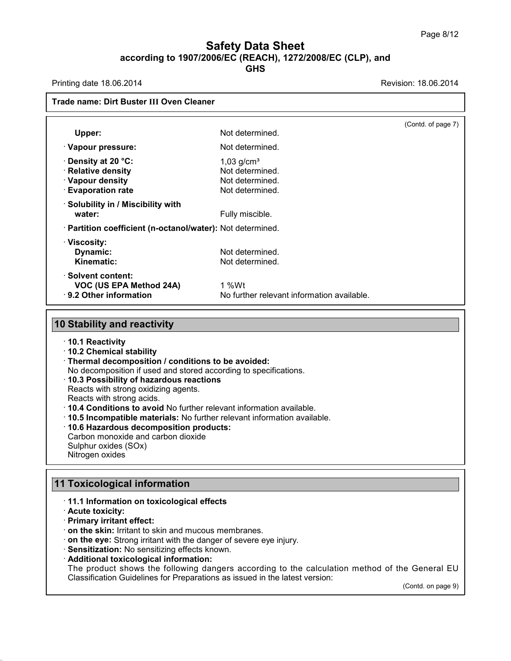## **Safety Data Sheet according to 1907/2006/EC (REACH), 1272/2008/EC (CLP),and**

**GHS**

Printing date 18.06.2014 **Printing date 18.06.2014** 

| Trade name: Dirt Buster III Oven Cleaner                         |                                            |                    |
|------------------------------------------------------------------|--------------------------------------------|--------------------|
|                                                                  |                                            | (Contd. of page 7) |
| Upper:                                                           | Not determined.                            |                    |
| · Vapour pressure:                                               | Not determined.                            |                    |
| · Density at 20 °C:                                              | $1,03$ g/cm <sup>3</sup>                   |                    |
| · Relative density                                               | Not determined.                            |                    |
| · Vapour density                                                 | Not determined.                            |                    |
| <b>Evaporation rate</b>                                          | Not determined.                            |                    |
| $\cdot$ Solubility in / Miscibility with                         |                                            |                    |
| water:                                                           | Fully miscible.                            |                    |
| · Partition coefficient (n-octanol/water): Not determined.       |                                            |                    |
| · Viscosity:                                                     |                                            |                    |
| Dynamic:                                                         | Not determined.                            |                    |
| Kinematic:                                                       | Not determined.                            |                    |
| · Solvent content:                                               |                                            |                    |
| VOC (US EPA Method 24A)                                          | $1\%Wt$                                    |                    |
| ⋅ 9.2 Other information                                          | No further relevant information available. |                    |
|                                                                  |                                            |                    |
| <b>10 Stability and reactivity</b>                               |                                            |                    |
| ⋅ 10.1 Reactivity                                                |                                            |                    |
| 10.2 Chemical stability                                          |                                            |                    |
| · Thermal decomposition / conditions to be avoided:              |                                            |                    |
| No decomposition if used and stored according to specifications. |                                            |                    |

· **10.3 Possibility of hazardous reactions**

Reacts with strong oxidizing agents.

Reacts with strong acids.

· **10.4 Conditions to avoid** No further relevant information available.

- · **10.5 Incompatible materials:** No further relevant information available.
- · **10.6 Hazardous decomposition products:**

Carbon monoxide and carbon dioxide

Sulphur oxides (SOx) Nitrogen oxides

### **11 Toxicological information**

#### · **11.1 Information on toxicological effects**

· **Acute toxicity:**

38.0.33

· **Primary irritant effect:**

· **on the skin:** Irritant to skin and mucous membranes.

· **on the eye:** Strong irritant with the danger of severe eye injury.

· **Sensitization:** No sensitizing effects known.

#### · **Additional toxicological information:**

The product shows the following dangers according to the calculation method of the General EU Classification Guidelines for Preparations as issued in the latest version:

(Contd. on page 9)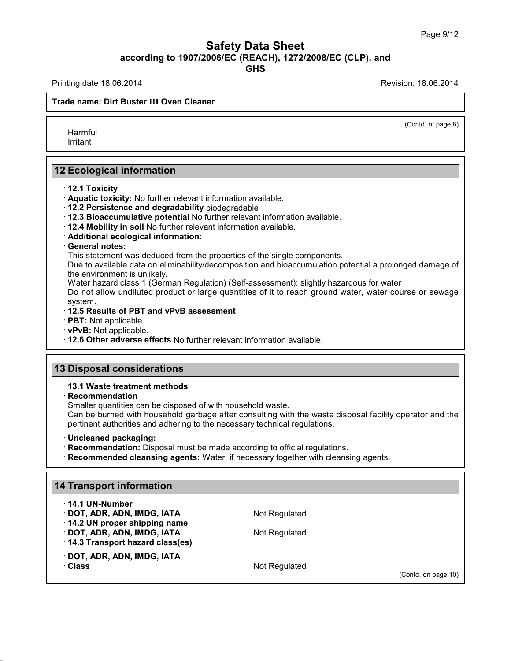Printing date 18.06.2014 **Printing date 18.06.2014** 

(Contd. of page 8)

Harmful Irritant

**12 Ecological information**

- · **12.1 Toxicity**
- · **Aquatic toxicity:** No further relevant information available.
- · **12.2 Persistence and degradability** biodegradable
- · **12.3 Bioaccumulative potential** No further relevant information available.
- · **12.4 Mobility in soil** No further relevant information available.
- · **Additional ecological information:**
- · **General notes:**

This statement was deduced from the properties of the single components.

Due to available data on eliminability/decomposition and bioaccumulation potential a prolonged damage of the environment is unlikely.

Water hazard class 1 (German Regulation) (Self-assessment): slightly hazardous for water

Do not allow undiluted product or large quantities of it to reach ground water, water course or sewage system.

#### · **12.5 Results of PBT and vPvB assessment**

- · **PBT:** Not applicable.
- · **vPvB:** Not applicable.

· **12.6 Other adverse effects** No further relevant information available.

#### **13 Disposal considerations**

#### · **13.1 Waste treatment methods**

· **Recommendation**

Smaller quantities can be disposed of with household waste.

Can be burned with household garbage after consulting with the waste disposal facility operator and the pertinent authorities and adhering to the necessary technical regulations.

· **Uncleaned packaging:**

· **Recommendation:** Disposal must be made according to official regulations.

· **Recommended cleansing agents:** Water, if necessary together with cleansing agents.

#### **14 Transport information**

| $\cdot$ 14.1 UN-Number<br>DOT, ADR, ADN, IMDG, IATA<br>14.2 UN proper shipping name<br>DOT, ADR, ADN, IMDG, IATA<br>14.3 Transport hazard class(es) | Not Regulated<br>Not Regulated |                     |  |
|-----------------------------------------------------------------------------------------------------------------------------------------------------|--------------------------------|---------------------|--|
| DOT, ADR, ADN, IMDG, IATA<br>∴Class                                                                                                                 | Not Regulated                  | (Contd. on page 10) |  |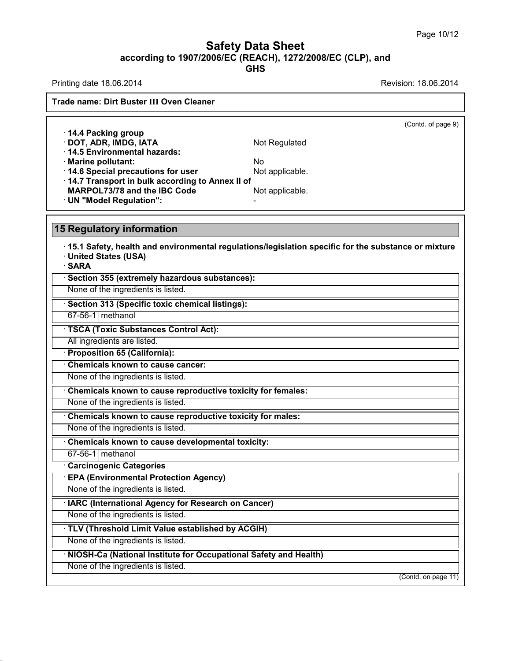### **Safety Data Sheet according to 1907/2006/EC (REACH), 1272/2008/EC (CLP),and**

**GHS**

Printing date 18.06.2014 **Revision: 18.06.2014** 

|                                                                                                                      | (Contd. of page 9)                                                                                  |  |
|----------------------------------------------------------------------------------------------------------------------|-----------------------------------------------------------------------------------------------------|--|
| 14.4 Packing group                                                                                                   |                                                                                                     |  |
| · DOT, ADR, IMDG, IATA                                                                                               | Not Regulated                                                                                       |  |
| · 14.5 Environmental hazards:                                                                                        |                                                                                                     |  |
| · Marine pollutant:                                                                                                  | No                                                                                                  |  |
| 14.6 Special precautions for user<br>14.7 Transport in bulk according to Annex II of                                 | Not applicable.                                                                                     |  |
| <b>MARPOL73/78 and the IBC Code</b>                                                                                  | Not applicable.                                                                                     |  |
| · UN "Model Regulation":                                                                                             |                                                                                                     |  |
|                                                                                                                      |                                                                                                     |  |
| <b>15 Regulatory information</b><br>· United States (USA)<br>· SARA<br>Section 355 (extremely hazardous substances): | 15.1 Safety, health and environmental regulations/legislation specific for the substance or mixture |  |
| None of the ingredients is listed.                                                                                   |                                                                                                     |  |
| Section 313 (Specific toxic chemical listings):                                                                      |                                                                                                     |  |
| 67-56-1 methanol                                                                                                     |                                                                                                     |  |
| · TSCA (Toxic Substances Control Act):                                                                               |                                                                                                     |  |
| All ingredients are listed.                                                                                          |                                                                                                     |  |
| · Proposition 65 (California):                                                                                       |                                                                                                     |  |
| Chemicals known to cause cancer:                                                                                     |                                                                                                     |  |
| None of the ingredients is listed.                                                                                   |                                                                                                     |  |
| Chemicals known to cause reproductive toxicity for females:                                                          |                                                                                                     |  |

None of the ingredients is listed.

· **Chemicals known to cause developmental toxicity:**

67-56-1 methanol

38.0.33

· **Carcinogenic Categories**

· **EPA (Environmental Protection Agency)**

None of the ingredients is listed.

· **IARC (International Agency for Research on Cancer)**

None of the ingredients is listed.

· **TLV (Threshold Limit Value established by ACGIH)**

None of the ingredients is listed.

· **NIOSH-Ca (National Institute for Occupational Safety and Health)**

None of the ingredients is listed.

(Contd. on page 11)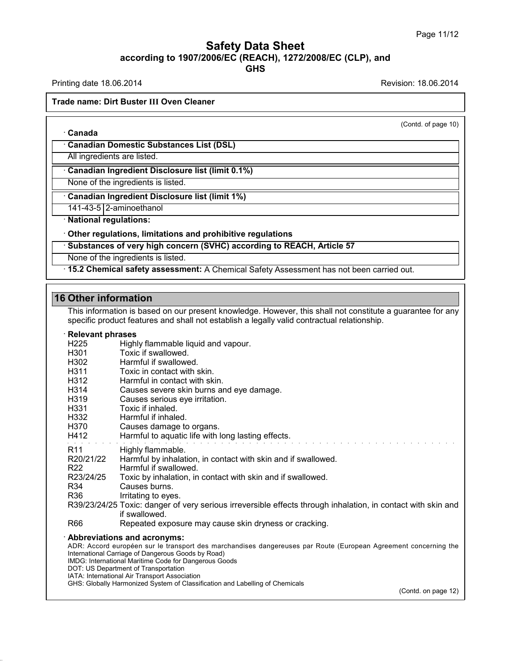Printing date 18.06.2014 **Printing date 18.06.2014** 

· **Canada**

(Contd. of page 10)

· **Canadian Domestic Substances List (DSL)**

All ingredients are listed.

· **Canadian Ingredient Disclosure list (limit 0.1%)**

None of the ingredients is listed.

· **Canadian Ingredient Disclosure list (limit 1%)**

141-43-5 2-aminoethanol

· **National regulations:**

· **Other regulations, limitations and prohibitive regulations**

· **Substances of very high concern (SVHC) according to REACH, Article 57**

None of the ingredients is listed.

· **15.2 Chemical safety assessment:** A Chemical Safety Assessment has not been carried out.

#### **16 Other information**

This information is based on our present knowledge. However, this shall not constitute a guarantee for any specific product features and shall not establish a legally valid contractual relationship.

#### · **Relevant phrases**

| H <sub>225</sub> | Highly flammable liquid and vapour. |
|------------------|-------------------------------------|
|------------------|-------------------------------------|

- H301 Toxic if swallowed.<br>H302 Harmful if swallowe
- H<sub>302</sub> Harmful if swallowed.<br>H<sub>311</sub> H<sub>231</sub> Toxic in contact with s
- Toxic in contact with skin.
- H312 Harmful in contact with skin.
- H314 Causes severe skin burns and eye damage.
- H319 Causes serious eye irritation.<br>H331 Toxic if inhaled.
- 
- H331 Toxic if inhaled.<br>H332 Harmful if inhale Harmful if inhaled.
- H370 Causes damage to organs.
- H412 Harmful to aquatic life with long lasting effects.
- 
- R11 Highly flammable.<br>R20/21/22 Harmful by inhalat Harmful by inhalation, in contact with skin and if swallowed.
- 
- R22 Harmful if swallowed.<br>R23/24/25 Toxic by inhalation, in Toxic by inhalation, in contact with skin and if swallowed.
- R34 Causes burns.
- R36 Irritating to eyes.
- R39/23/24/25 Toxic: danger of very serious irreversible effects through inhalation, in contact with skin and if swallowed.
- R66 Repeated exposure may cause skin dryness or cracking.

#### · **Abbreviations and acronyms:**

ADR: Accord européen sur le transport des marchandises dangereuses par Route (European Agreement concerning the International Carriage of Dangerous Goods by Road) IMDG: International Maritime Code for Dangerous Goods DOT: US Department of Transportation

IATA: International Air Transport Association

38.0.33

GHS: Globally Harmonized System of Classification and Labelling of Chemicals

(Contd. on page 12)